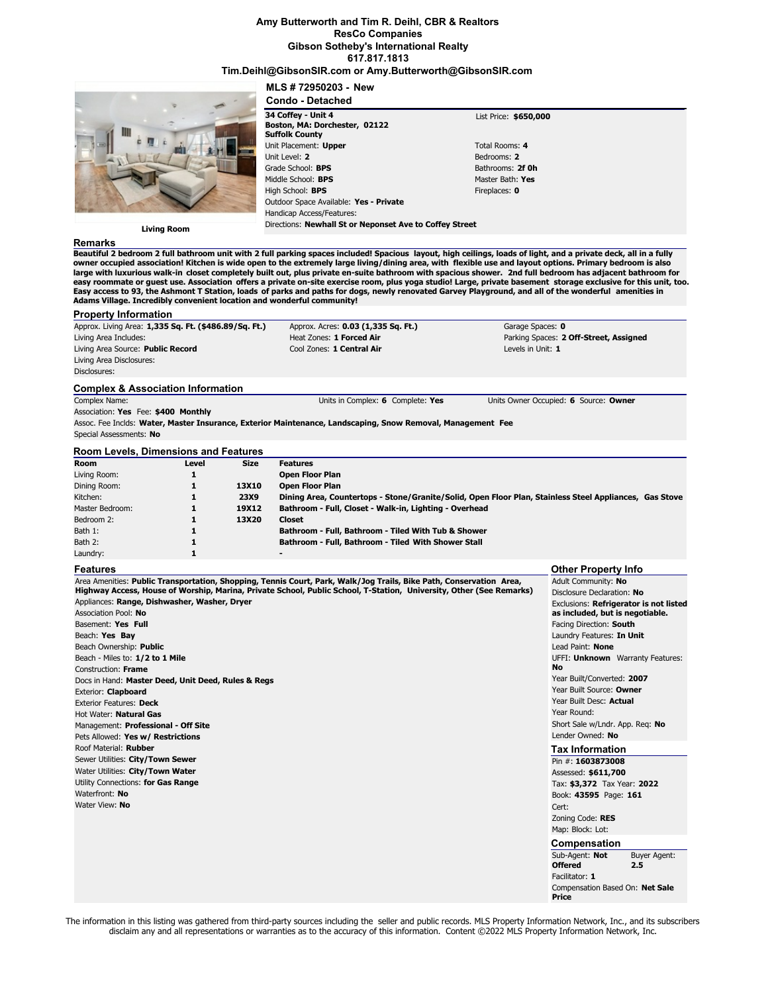### **Amy Butterworth and Tim R. Deihl, CBR & Realtors ResCo Companies Gibson Sotheby's International Realty 617.817.1813**

### **Tim.Deihl@GibsonSIR.com or Amy.Butterworth@GibsonSIR.com**

**MLS # 72950203 - New**

|                    | <b>Condo - Detached</b>                                                      |                       |  |
|--------------------|------------------------------------------------------------------------------|-----------------------|--|
|                    | 34 Coffey - Unit 4<br>Boston, MA: Dorchester, 02122<br><b>Suffolk County</b> | List Price: \$650,000 |  |
|                    | Unit Placement: Upper                                                        | Total Rooms: 4        |  |
|                    | Unit Level: 2                                                                | Bedrooms: 2           |  |
|                    | Grade School: <b>BPS</b>                                                     | Bathrooms: 2f Oh      |  |
|                    | Middle School: BPS                                                           | Master Bath: Yes      |  |
|                    | High School: BPS                                                             | Fireplaces: 0         |  |
|                    | Outdoor Space Available: Yes - Private                                       |                       |  |
|                    | Handicap Access/Features:                                                    |                       |  |
| <b>Living Room</b> | Directions: Newhall St or Neponset Ave to Coffey Street                      |                       |  |
| Damarke            |                                                                              |                       |  |

**Remarks**

**Property Information**

**Beautiful 2 bedroom 2 full bathroom unit with 2 full parking spaces included! Spacious layout, high ceilings, loads of light, and a private deck, all in a fully** owner occupied association! Kitchen is wide open to the extremely large living/dining area, with flexible use and layout options. Primary bedroom is also<br>large with luxurious walk-in closet completely built out, plus priva **Easy access to 93, the Ashmont T Station, loads of parks and paths for dogs, newly renovated Garvey Playground, and all of the wonderful amenities in Adams Village. Incredibly convenient location and wonderful community!**

| Approx. Living Area: 1,335 Sq. Ft. (\$486.89/Sq. Ft.) |       |             | Approx. Acres: 0.03 (1,335 Sq. Ft.)                                                                         | Garage Spaces: 0                                                                                       |
|-------------------------------------------------------|-------|-------------|-------------------------------------------------------------------------------------------------------------|--------------------------------------------------------------------------------------------------------|
| Living Area Includes:                                 |       |             | Heat Zones: 1 Forced Air                                                                                    | Parking Spaces: 2 Off-Street, Assigned                                                                 |
| Living Area Source: Public Record                     |       |             | Cool Zones: 1 Central Air                                                                                   | Levels in Unit: 1                                                                                      |
| Living Area Disclosures:                              |       |             |                                                                                                             |                                                                                                        |
| Disclosures:                                          |       |             |                                                                                                             |                                                                                                        |
| <b>Complex &amp; Association Information</b>          |       |             |                                                                                                             |                                                                                                        |
| Complex Name:                                         |       |             | Units in Complex: 6 Complete: Yes                                                                           | Units Owner Occupied: 6 Source: Owner                                                                  |
| Association: Yes Fee: \$400 Monthly                   |       |             |                                                                                                             |                                                                                                        |
|                                                       |       |             | Assoc. Fee Inclds: Water, Master Insurance, Exterior Maintenance, Landscaping, Snow Removal, Management Fee |                                                                                                        |
| Special Assessments: No                               |       |             |                                                                                                             |                                                                                                        |
| <b>Room Levels, Dimensions and Features</b>           |       |             |                                                                                                             |                                                                                                        |
| <b>Room</b>                                           | Level | <b>Size</b> |                                                                                                             |                                                                                                        |
|                                                       |       |             | <b>Features</b>                                                                                             |                                                                                                        |
| Living Room:                                          | 1     |             | <b>Open Floor Plan</b>                                                                                      |                                                                                                        |
| Dining Room:                                          |       | 13X10       | <b>Open Floor Plan</b>                                                                                      |                                                                                                        |
| Kitchen:                                              |       | <b>23X9</b> |                                                                                                             | Dining Area, Countertops - Stone/Granite/Solid, Open Floor Plan, Stainless Steel Appliances, Gas Stove |
| Master Bedroom:                                       |       | 19X12       | Bathroom - Full, Closet - Walk-in, Lighting - Overhead                                                      |                                                                                                        |
| Bedroom 2:                                            |       | 13X20       | <b>Closet</b>                                                                                               |                                                                                                        |
| Bath 1:                                               |       |             | Bathroom - Full, Bathroom - Tiled With Tub & Shower                                                         |                                                                                                        |
| Bath 2:                                               |       |             | Bathroom - Full, Bathroom - Tiled With Shower Stall                                                         |                                                                                                        |

### **Features**

Area Amenities: **Public Transportation, Shopping, Tennis Court, Park, Walk/Jog Trails, Bike Path, Conservation Area, Highway Access, House of Worship, Marina, Private School, Public School, T-Station, University, Other (See Remarks)** Appliances: **Range, Dishwasher, Washer, Dryer** Association Pool: **No** Basement: **Yes Full** Beach: **Yes Bay** Beach Ownership: **Public** Beach - Miles to: **1/2 to 1 Mile** Construction: **Frame** Docs in Hand: **Master Deed, Unit Deed, Rules & Regs** Exterior: **Clapboard** Exterior Features: **Deck** Hot Water: **Natural Gas** Management: **Professional - Off Site** Pets Allowed: **Yes w/ Restrictions** Roof Material: **Rubber** Sewer Utilities: **City/Town Sewer** Water Utilities: **City/Town Water** Utility Connections: **for Gas Range** Waterfront: **No** Water View: **No Other Property Info** Adult Community: **No** Disclosure Declaration: **No** Exclusions: **Refrigerator is not listed as included, but is negotiable.** Facing Direction: **South** Laundry Features: **In Unit** Lead Paint: **None** UFFI: **Unknown** Warranty Features: **No** Year Built/Converted: **2007** Year Built Source: **Owner** Year Built Desc: **Actual** Year Round: Short Sale w/Lndr. App. Req: **No** Lender Owned: **No Tax Information** Pin #: **1603873008** Assessed: **\$611,700** Tax: **\$3,372** Tax Year: **2022** Book: **43595** Page: **161** Cert: Zoning Code: **RES** Map: Block: Lot: **Compensation** Sub-Agent: **Not Offered** Buyer Agent: **2.5** Facilitator: **1** Compensation Based On: **Net Sale**

The information in this listing was gathered from third-party sources including the seller and public records. MLS Property Information Network, Inc., and its subscribers disclaim any and all representations or warranties as to the accuracy of this information. Content ©2022 MLS Property Information Network, Inc.

**Price**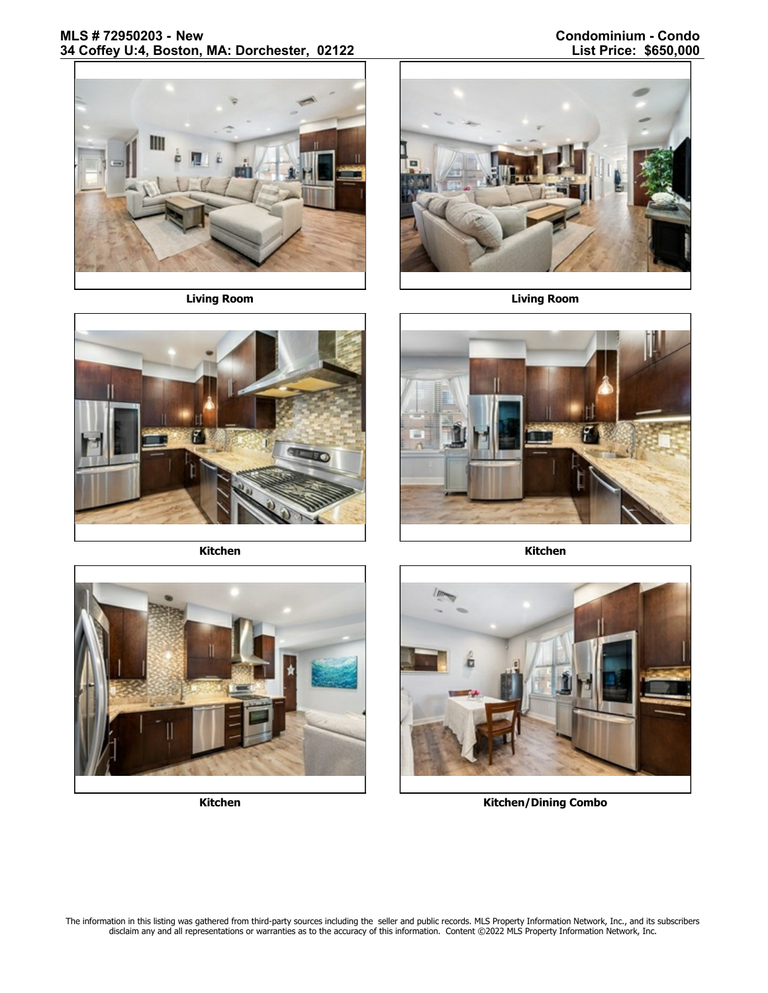

**Living Room Living Room**



**Kitchen Kitchen**









**Kitchen Kitchen/Dining Combo**

The information in this listing was gathered from third-party sources including the seller and public records. MLS Property Information Network, Inc., and its subscribers disclaim any and all representations or warranties as to the accuracy of this information. Content ©2022 MLS Property Information Network, Inc.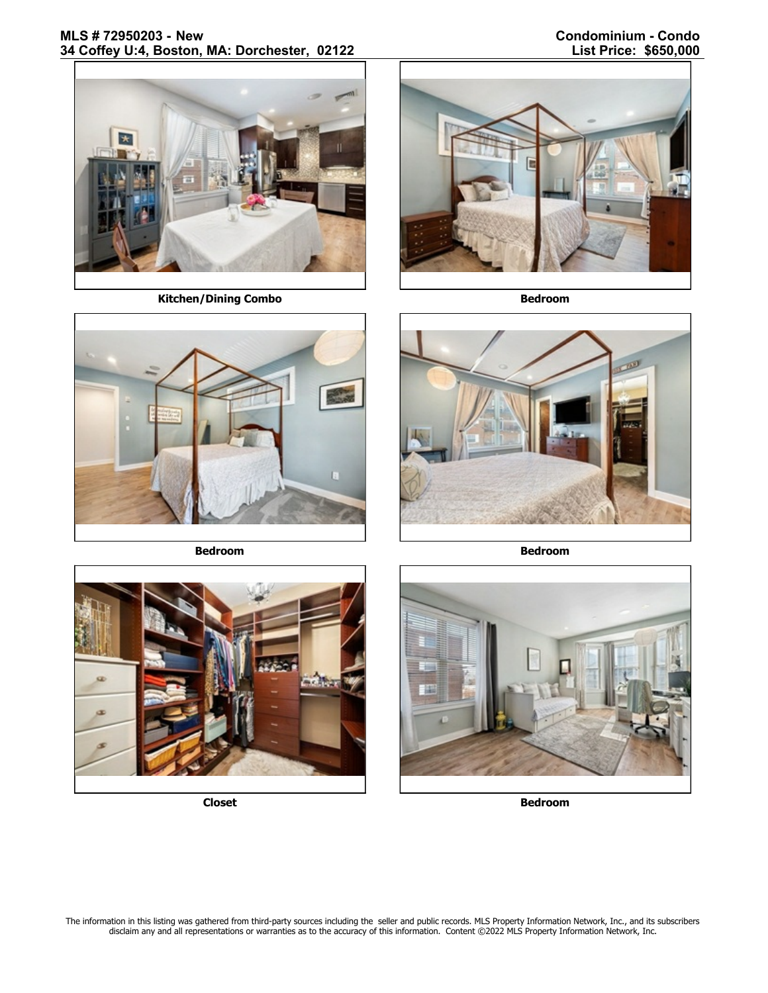# **MLS # 72950203 - New Condominium - Condo 34 Coffey U:4, Boston, MA: Dorchester, 02122**



**Kitchen/Dining Combo Bedroom** 



**Bedroom Bedroom**









**Closet Bedroom**

The information in this listing was gathered from third-party sources including the seller and public records. MLS Property Information Network, Inc., and its subscribers disclaim any and all representations or warranties as to the accuracy of this information. Content ©2022 MLS Property Information Network, Inc.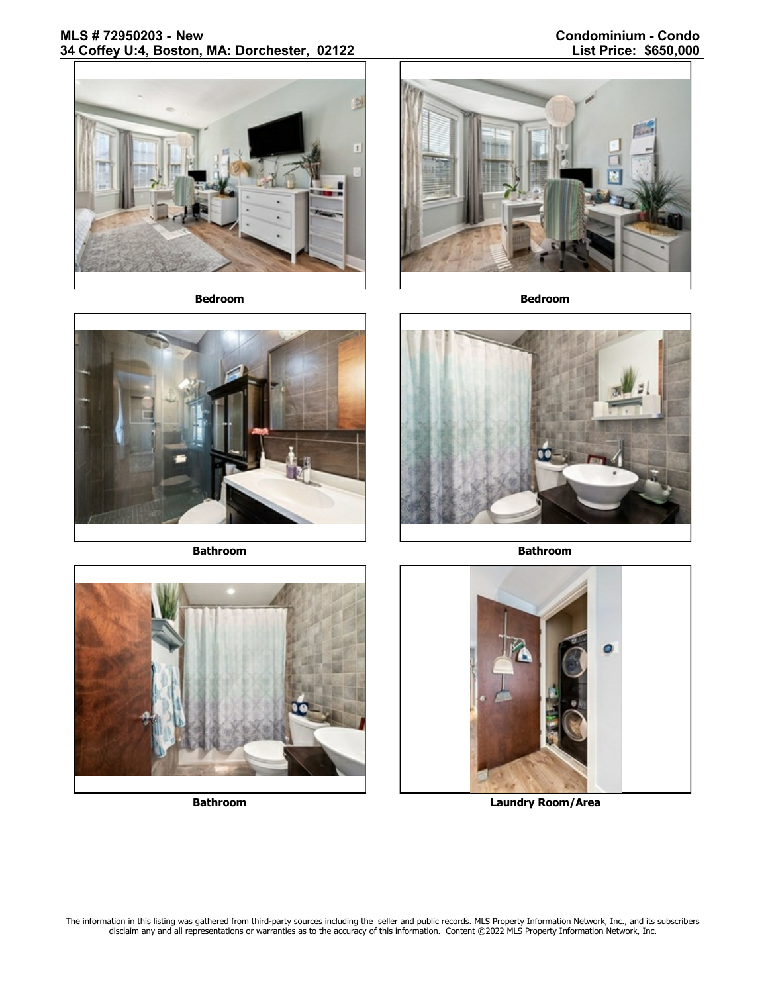# **MLS # 72950203 - New Condominium - Condo 34 Coffey U:4, Boston, MA: Dorchester, 02122**



**Bedroom Bedroom**







**Bathroom Bathroom**





**Bathroom Laundry Room/Area**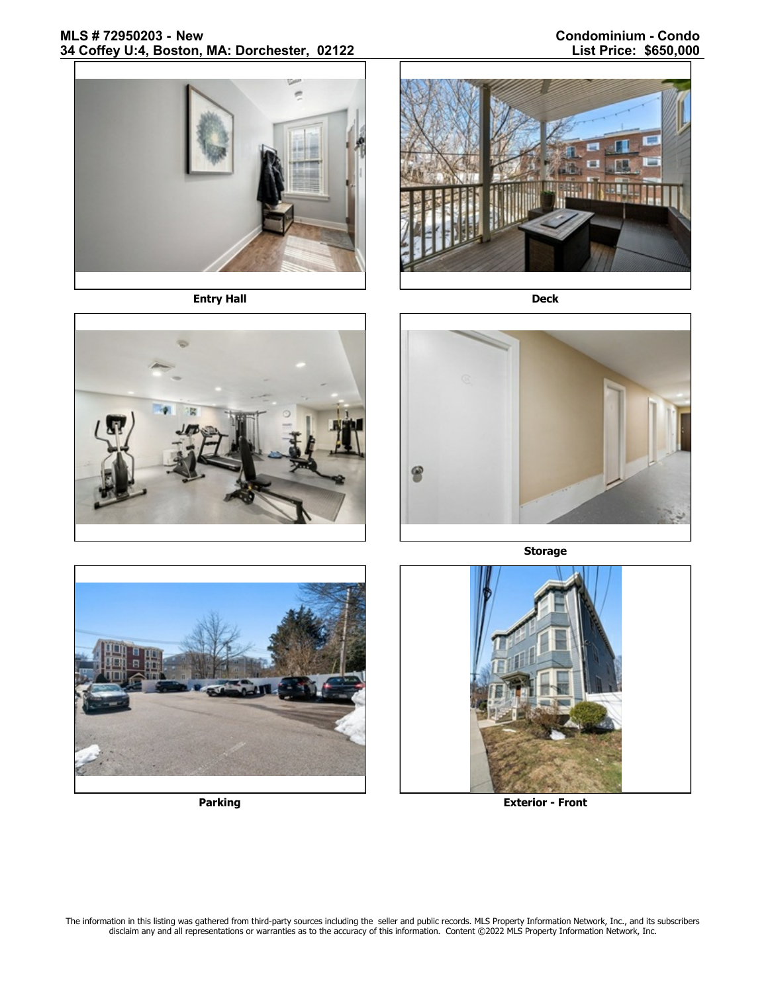# **MLS # 72950203 - New Condominium - Condo** 34 Coffey U:4, Boston, MA: Dorchester, 02122



**Entry Hall Deck**







**Storage**





**Parking Exterior - Front**